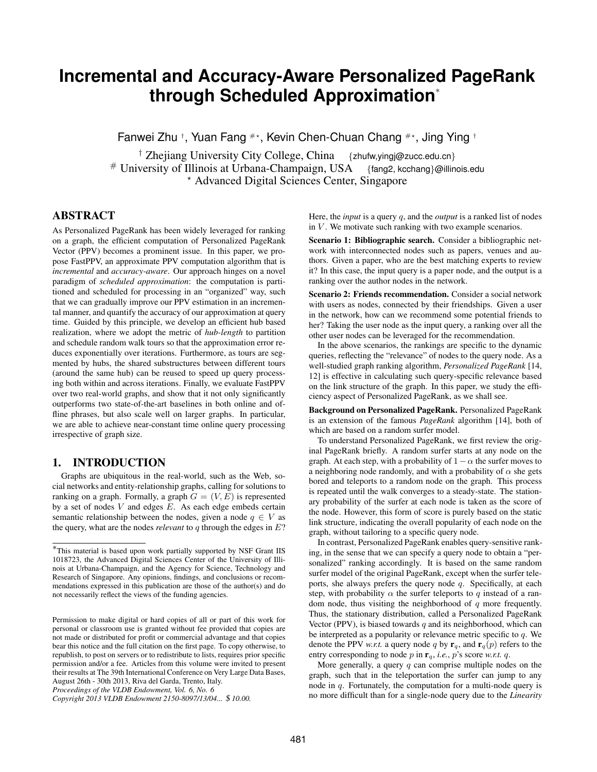# **Incremental and Accuracy-Aware Personalized PageRank through Scheduled Approximation**<sup>∗</sup>

Fanwei Zhu †, Yuan Fang #\*, Kevin Chen-Chuan Chang #\*, Jing Ying †

† Zhejiang University City College, China {zhufw,yingj@zucc.edu.cn}  $#$  University of Illinois at Urbana-Champaign, USA {fang2, kcchang}@illinois.edu ? Advanced Digital Sciences Center, Singapore

# ABSTRACT

As Personalized PageRank has been widely leveraged for ranking on a graph, the efficient computation of Personalized PageRank Vector (PPV) becomes a prominent issue. In this paper, we propose FastPPV, an approximate PPV computation algorithm that is *incremental* and *accuracy-aware*. Our approach hinges on a novel paradigm of *scheduled approximation*: the computation is partitioned and scheduled for processing in an "organized" way, such that we can gradually improve our PPV estimation in an incremental manner, and quantify the accuracy of our approximation at query time. Guided by this principle, we develop an efficient hub based realization, where we adopt the metric of *hub-length* to partition and schedule random walk tours so that the approximation error reduces exponentially over iterations. Furthermore, as tours are segmented by hubs, the shared substructures between different tours (around the same hub) can be reused to speed up query processing both within and across iterations. Finally, we evaluate FastPPV over two real-world graphs, and show that it not only significantly outperforms two state-of-the-art baselines in both online and offline phrases, but also scale well on larger graphs. In particular, we are able to achieve near-constant time online query processing irrespective of graph size.

# 1. INTRODUCTION

Graphs are ubiquitous in the real-world, such as the Web, social networks and entity-relationship graphs, calling for solutions to ranking on a graph. Formally, a graph  $G = (V, E)$  is represented by a set of nodes  $V$  and edges  $E$ . As each edge embeds certain semantic relationship between the nodes, given a node  $q \in V$  as the query, what are the nodes *relevant* to q through the edges in  $E$ ? Here, the *input* is a query q, and the *output* is a ranked list of nodes in  $V$ . We motivate such ranking with two example scenarios.

Scenario 1: Bibliographic search. Consider a bibliographic network with interconnected nodes such as papers, venues and authors. Given a paper, who are the best matching experts to review it? In this case, the input query is a paper node, and the output is a ranking over the author nodes in the network.

Scenario 2: Friends recommendation. Consider a social network with users as nodes, connected by their friendships. Given a user in the network, how can we recommend some potential friends to her? Taking the user node as the input query, a ranking over all the other user nodes can be leveraged for the recommendation.

In the above scenarios, the rankings are specific to the dynamic queries, reflecting the "relevance" of nodes to the query node. As a well-studied graph ranking algorithm, *Personalized PageRank* [14, 12] is effective in calculating such query-specific relevance based on the link structure of the graph. In this paper, we study the efficiency aspect of Personalized PageRank, as we shall see.

Background on Personalized PageRank. Personalized PageRank is an extension of the famous *PageRank* algorithm [14], both of which are based on a random surfer model.

To understand Personalized PageRank, we first review the original PageRank briefly. A random surfer starts at any node on the graph. At each step, with a probability of  $1-\alpha$  the surfer moves to a neighboring node randomly, and with a probability of  $\alpha$  she gets bored and teleports to a random node on the graph. This process is repeated until the walk converges to a steady-state. The stationary probability of the surfer at each node is taken as the score of the node. However, this form of score is purely based on the static link structure, indicating the overall popularity of each node on the graph, without tailoring to a specific query node.

In contrast, Personalized PageRank enables query-sensitive ranking, in the sense that we can specify a query node to obtain a "personalized" ranking accordingly. It is based on the same random surfer model of the original PageRank, except when the surfer teleports, she always prefers the query node  $q$ . Specifically, at each step, with probability  $\alpha$  the surfer teleports to q instead of a random node, thus visiting the neighborhood of  $q$  more frequently. Thus, the stationary distribution, called a Personalized PageRank Vector (PPV), is biased towards  $q$  and its neighborhood, which can be interpreted as a popularity or relevance metric specific to  $q$ . We denote the PPV *w.r.t.* a query node q by  $\mathbf{r}_q$ , and  $\mathbf{r}_q(p)$  refers to the entry corresponding to node p in  $\mathbf{r}_q$ , *i.e.*, p's score *w.r.t.* q.

More generally, a query  $q$  can comprise multiple nodes on the graph, such that in the teleportation the surfer can jump to any node in q. Fortunately, the computation for a multi-node query is no more difficult than for a single-node query due to the *Linearity*

<sup>∗</sup> This material is based upon work partially supported by NSF Grant IIS 1018723, the Advanced Digital Sciences Center of the University of Illinois at Urbana-Champaign, and the Agency for Science, Technology and Research of Singapore. Any opinions, findings, and conclusions or recommendations expressed in this publication are those of the author(s) and do not necessarily reflect the views of the funding agencies.

Permission to make digital or hard copies of all or part of this work for personal or classroom use is granted without fee provided that copies are not made or distributed for profit or commercial advantage and that copies bear this notice and the full citation on the first page. To copy otherwise, to republish, to post on servers or to redistribute to lists, requires prior specific permission and/or a fee. Articles from this volume were invited to present their results at The 39th International Conference on Very Large Data Bases, August 26th - 30th 2013, Riva del Garda, Trento, Italy.

*Proceedings of the VLDB Endowment, Vol. 6, No. 6*

*Copyright 2013 VLDB Endowment 2150-8097/13/04...* \$ *10.00.*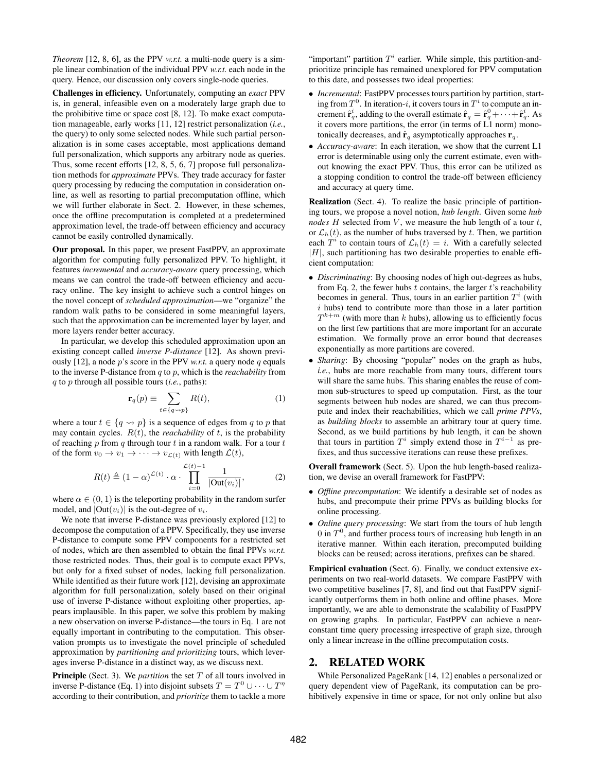*Theorem* [12, 8, 6], as the PPV *w.r.t.* a multi-node query is a simple linear combination of the individual PPV *w.r.t.* each node in the query. Hence, our discussion only covers single-node queries.

Challenges in efficiency. Unfortunately, computing an *exact* PPV is, in general, infeasible even on a moderately large graph due to the prohibitive time or space cost [8, 12]. To make exact computation manageable, early works [11, 12] restrict personalization (*i.e.*, the query) to only some selected nodes. While such partial personalization is in some cases acceptable, most applications demand full personalization, which supports any arbitrary node as queries. Thus, some recent efforts [12, 8, 5, 6, 7] propose full personalization methods for *approximate* PPVs. They trade accuracy for faster query processing by reducing the computation in consideration online, as well as resorting to partial precomputation offline, which we will further elaborate in Sect. 2. However, in these schemes, once the offline precomputation is completed at a predetermined approximation level, the trade-off between efficiency and accuracy cannot be easily controlled dynamically.

Our proposal. In this paper, we present FastPPV, an approximate algorithm for computing fully personalized PPV. To highlight, it features *incremental* and *accuracy-aware* query processing, which means we can control the trade-off between efficiency and accuracy online. The key insight to achieve such a control hinges on the novel concept of *scheduled approximation*—we "organize" the random walk paths to be considered in some meaningful layers, such that the approximation can be incremented layer by layer, and more layers render better accuracy.

In particular, we develop this scheduled approximation upon an existing concept called *inverse P-distance* [12]. As shown previously [12], a node p's score in the PPV *w.r.t.* a query node q equals to the inverse P-distance from q to p, which is the *reachability* from q to p through all possible tours (*i.e.*, paths):

$$
\mathbf{r}_q(p) \equiv \sum_{t \in \{q \sim p\}} R(t),\tag{1}
$$

where a tour  $t \in \{q \leadsto p\}$  is a sequence of edges from q to p that may contain cycles.  $R(t)$ , the *reachability* of t, is the probability of reaching  $p$  from  $q$  through tour  $t$  in a random walk. For a tour  $t$ of the form  $v_0 \to v_1 \to \cdots \to v_{\mathcal{L}(t)}$  with length  $\mathcal{L}(t)$ ,

$$
R(t) \triangleq (1 - \alpha)^{\mathcal{L}(t)} \cdot \alpha \cdot \prod_{i=0}^{\mathcal{L}(t)-1} \frac{1}{|\text{Out}(v_i)|},\tag{2}
$$

where  $\alpha \in (0, 1)$  is the teleporting probability in the random surfer model, and  $|Out(v_i)|$  is the out-degree of  $v_i$ .

We note that inverse P-distance was previously explored [12] to decompose the computation of a PPV. Specifically, they use inverse P-distance to compute some PPV components for a restricted set of nodes, which are then assembled to obtain the final PPVs *w.r.t.* those restricted nodes. Thus, their goal is to compute exact PPVs, but only for a fixed subset of nodes, lacking full personalization. While identified as their future work [12], devising an approximate algorithm for full personalization, solely based on their original use of inverse P-distance without exploiting other properties, appears implausible. In this paper, we solve this problem by making a new observation on inverse P-distance—the tours in Eq. 1 are not equally important in contributing to the computation. This observation prompts us to investigate the novel principle of scheduled approximation by *partitioning and prioritizing* tours, which leverages inverse P-distance in a distinct way, as we discuss next.

Principle (Sect. 3). We *partition* the set T of all tours involved in inverse P-distance (Eq. 1) into disjoint subsets  $T = T^0 \cup \cdots \cup T^n$ according to their contribution, and *prioritize* them to tackle a more

"important" partition  $T^i$  earlier. While simple, this partition-andprioritize principle has remained unexplored for PPV computation to this date, and possesses two ideal properties:

- *Incremental*: FastPPV processes tours partition by partition, starting from  $T^0$ . In iteration-*i*, it covers tours in  $T^i$  to compute an increment  $\hat{\mathbf{r}}_q^i$ , adding to the overall estimate  $\hat{\mathbf{r}}_q = \hat{\mathbf{r}}_q^0 + \cdots + \hat{\mathbf{r}}_q^i$ . As it covers more partitions, the error (in terms of L1 norm) monotonically decreases, and  $\hat{\mathbf{r}}_q$  asymptotically approaches  $\mathbf{r}_q$ .
- *Accuracy-aware*: In each iteration, we show that the current L1 error is determinable using only the current estimate, even without knowing the exact PPV. Thus, this error can be utilized as a stopping condition to control the trade-off between efficiency and accuracy at query time.

Realization (Sect. 4). To realize the basic principle of partitioning tours, we propose a novel notion, *hub length*. Given some *hub nodes*  $H$  selected from  $V$ , we measure the hub length of a tour  $t$ , or  $\mathcal{L}_h(t)$ , as the number of hubs traversed by t. Then, we partition each  $T^i$  to contain tours of  $\mathcal{L}_h(t) = i$ . With a carefully selected  $|H|$ , such partitioning has two desirable properties to enable efficient computation:

- *Discriminating*: By choosing nodes of high out-degrees as hubs, from Eq. 2, the fewer hubs  $t$  contains, the larger  $t$ 's reachability becomes in general. Thus, tours in an earlier partition  $T^i$  (with  $i$  hubs) tend to contribute more than those in a later partition  $T^{k+m}$  (with more than k hubs), allowing us to efficiently focus on the first few partitions that are more important for an accurate estimation. We formally prove an error bound that decreases exponentially as more partitions are covered.
- *Sharing*: By choosing "popular" nodes on the graph as hubs, *i.e.*, hubs are more reachable from many tours, different tours will share the same hubs. This sharing enables the reuse of common sub-structures to speed up computation. First, as the tour segments between hub nodes are shared, we can thus precompute and index their reachabilities, which we call *prime PPVs*, as *building blocks* to assemble an arbitrary tour at query time. Second, as we build partitions by hub length, it can be shown that tours in partition  $T^i$  simply extend those in  $T^{i-1}$  as prefixes, and thus successive iterations can reuse these prefixes.

Overall framework (Sect. 5). Upon the hub length-based realization, we devise an overall framework for FastPPV:

- *Offline precomputation*: We identify a desirable set of nodes as hubs, and precompute their prime PPVs as building blocks for online processing.
- *Online query processing*: We start from the tours of hub length 0 in  $T<sup>0</sup>$ , and further process tours of increasing hub length in an iterative manner. Within each iteration, precomputed building blocks can be reused; across iterations, prefixes can be shared.

Empirical evaluation (Sect. 6). Finally, we conduct extensive experiments on two real-world datasets. We compare FastPPV with two competitive baselines [7, 8], and find out that FastPPV significantly outperforms them in both online and offline phases. More importantly, we are able to demonstrate the scalability of FastPPV on growing graphs. In particular, FastPPV can achieve a nearconstant time query processing irrespective of graph size, through only a linear increase in the offline precomputation costs.

## 2. RELATED WORK

While Personalized PageRank [14, 12] enables a personalized or query dependent view of PageRank, its computation can be prohibitively expensive in time or space, for not only online but also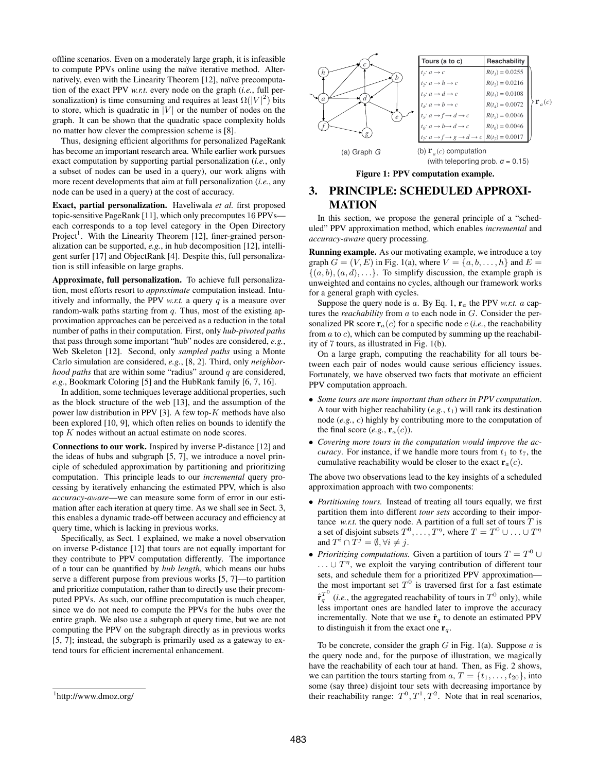offline scenarios. Even on a moderately large graph, it is infeasible to compute PPVs online using the naïve iterative method. Alternatively, even with the Linearity Theorem [12], naïve precomputation of the exact PPV *w.r.t.* every node on the graph (*i.e.*, full personalization) is time consuming and requires at least  $\Omega(|V|^2)$  bits to store, which is quadratic in  $|V|$  or the number of nodes on the graph. It can be shown that the quadratic space complexity holds no matter how clever the compression scheme is [8].

Thus, designing efficient algorithms for personalized PageRank has become an important research area. While earlier work pursues exact computation by supporting partial personalization (*i.e.*, only a subset of nodes can be used in a query), our work aligns with more recent developments that aim at full personalization (*i.e.*, any node can be used in a query) at the cost of accuracy.

Exact, partial personalization. Haveliwala *et al.* first proposed topic-sensitive PageRank [11], which only precomputes 16 PPVs each corresponds to a top level category in the Open Directory Project<sup>1</sup>. With the Linearity Theorem [12], finer-grained personalization can be supported, *e.g.*, in hub decomposition [12], intelligent surfer [17] and ObjectRank [4]. Despite this, full personalization is still infeasible on large graphs.

Approximate, full personalization. To achieve full personalization, most efforts resort to *approximate* computation instead. Intuitively and informally, the PPV  $w.r.t.$  a query  $q$  is a measure over random-walk paths starting from  $q$ . Thus, most of the existing approximation approaches can be perceived as a reduction in the total number of paths in their computation. First, only *hub-pivoted paths* that pass through some important "hub" nodes are considered, *e.g.*, Web Skeleton [12]. Second, only *sampled paths* using a Monte Carlo simulation are considered, *e.g.*, [8, 2]. Third, only *neighborhood paths* that are within some "radius" around q are considered, *e.g.*, Bookmark Coloring [5] and the HubRank family [6, 7, 16].

In addition, some techniques leverage additional properties, such as the block structure of the web [13], and the assumption of the power law distribution in PPV [3]. A few top- $K$  methods have also been explored [10, 9], which often relies on bounds to identify the top K nodes without an actual estimate on node scores.

Connections to our work. Inspired by inverse P-distance [12] and the ideas of hubs and subgraph [5, 7], we introduce a novel principle of scheduled approximation by partitioning and prioritizing computation. This principle leads to our *incremental* query processing by iteratively enhancing the estimated PPV, which is also *accuracy-aware*—we can measure some form of error in our estimation after each iteration at query time. As we shall see in Sect. 3, this enables a dynamic trade-off between accuracy and efficiency at query time, which is lacking in previous works.

Specifically, as Sect. 1 explained, we make a novel observation on inverse P-distance [12] that tours are not equally important for they contribute to PPV computation differently. The importance of a tour can be quantified by *hub length*, which means our hubs serve a different purpose from previous works [5, 7]—to partition and prioritize computation, rather than to directly use their precomputed PPVs. As such, our offline precomputation is much cheaper, since we do not need to compute the PPVs for the hubs over the entire graph. We also use a subgraph at query time, but we are not computing the PPV on the subgraph directly as in previous works [5, 7]; instead, the subgraph is primarily used as a gateway to extend tours for efficient incremental enhancement.



#### Figure 1: PPV computation example.

# 3. PRINCIPLE: SCHEDULED APPROXI-MATION

In this section, we propose the general principle of a "scheduled" PPV approximation method, which enables *incremental* and *accuracy-aware* query processing.

Running example. As our motivating example, we introduce a toy graph  $G = (V, E)$  in Fig. 1(a), where  $V = \{a, b, \dots, h\}$  and  $E =$  $\{(a, b), (a, d), \ldots\}$ . To simplify discussion, the example graph is unweighted and contains no cycles, although our framework works for a general graph with cycles.

Suppose the query node is  $a$ . By Eq. 1,  $r_a$  the PPV *w.r.t.*  $a$  captures the *reachability* from a to each node in G. Consider the personalized PR score  $\mathbf{r}_a(c)$  for a specific node c (*i.e.*, the reachability from  $a$  to  $c$ ), which can be computed by summing up the reachability of 7 tours, as illustrated in Fig. 1(b).

On a large graph, computing the reachability for all tours between each pair of nodes would cause serious efficiency issues. Fortunately, we have observed two facts that motivate an efficient PPV computation approach.

- *Some tours are more important than others in PPV computation*. A tour with higher reachability  $(e.g., t_1)$  will rank its destination node (*e.g.*, c) highly by contributing more to the computation of the final score  $(e.g., **r**<sub>a</sub>(c)).$
- *Covering more tours in the computation would improve the accuracy*. For instance, if we handle more tours from  $t_1$  to  $t_7$ , the cumulative reachability would be closer to the exact  $\mathbf{r}_a(c)$ .

The above two observations lead to the key insights of a scheduled approximation approach with two components:

- *Partitioning tours.* Instead of treating all tours equally, we first partition them into different *tour sets* according to their importance *w.r.t.* the query node. A partition of a full set of tours  $T$  is a set of disjoint subsets  $T^0, \ldots, T^\eta$ , where  $T = T^0 \cup \ldots \cup T^\eta$ and  $T^i \cap T^j = \emptyset, \forall i \neq j$ .
- *Prioritizing computations.* Given a partition of tours  $T = T^0 \cup T^1$  $\ldots \cup T^n$ , we exploit the varying contribution of different tour sets, and schedule them for a prioritized PPV approximation the most important set  $T^0$  is traversed first for a fast estimate  $\hat{\mathbf{r}}_q^{T^0}$  (*i.e.*, the aggregated reachability of tours in  $T^0$  only), while less important ones are handled later to improve the accuracy incrementally. Note that we use  $\hat{\mathbf{r}}_q$  to denote an estimated PPV to distinguish it from the exact one  $\mathbf{r}_q$ .

To be concrete, consider the graph  $G$  in Fig. 1(a). Suppose  $a$  is the query node and, for the purpose of illustration, we magically have the reachability of each tour at hand. Then, as Fig. 2 shows, we can partition the tours starting from  $a, T = \{t_1, \ldots, t_{20}\}\,$  into some (say three) disjoint tour sets with decreasing importance by their reachability range:  $T^0, T^1, T^2$ . Note that in real scenarios,

<sup>1</sup> http://www.dmoz.org/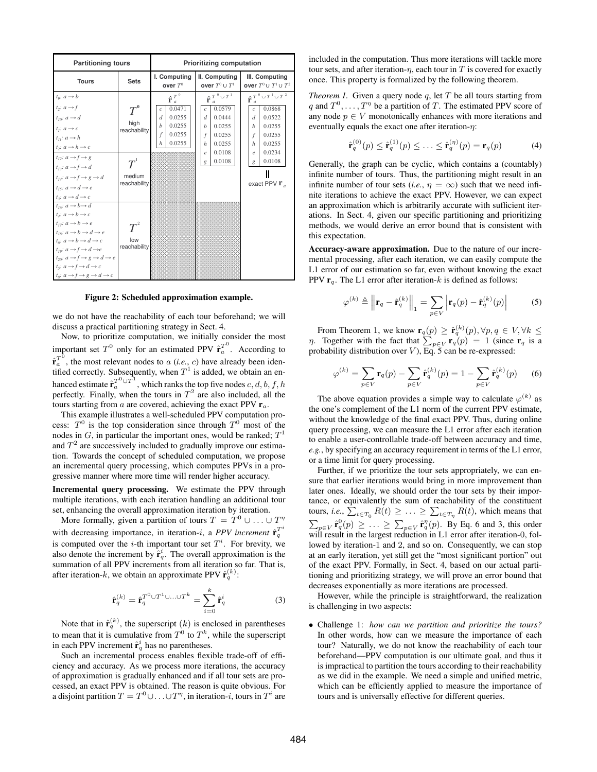| <b>Partitioning tours</b>                                                                                                                                                                                                                                                                                                                                                                                                                                                                                                                                  |                                                                                     |                                                                             | <b>Prioritizing computation</b>                                          |  |                                                                                                 |                                                                                                                |                                                                                     |                                                                                                                                                |  |
|------------------------------------------------------------------------------------------------------------------------------------------------------------------------------------------------------------------------------------------------------------------------------------------------------------------------------------------------------------------------------------------------------------------------------------------------------------------------------------------------------------------------------------------------------------|-------------------------------------------------------------------------------------|-----------------------------------------------------------------------------|--------------------------------------------------------------------------|--|-------------------------------------------------------------------------------------------------|----------------------------------------------------------------------------------------------------------------|-------------------------------------------------------------------------------------|------------------------------------------------------------------------------------------------------------------------------------------------|--|
| <b>Tours</b>                                                                                                                                                                                                                                                                                                                                                                                                                                                                                                                                               | <b>Sets</b>                                                                         | I. Computing<br>over $T^0$                                                  |                                                                          |  | II. Computing<br>over $T^0 \cup T^1$                                                            |                                                                                                                |                                                                                     | III. Computing<br>over $T^0 \cup T^1 \cup T^2$                                                                                                 |  |
| $t_0$ : $a \rightarrow b$<br>$t_2$ : $a \rightarrow f$<br>$t_{10}: a \rightarrow d$<br>$t_i$ : $a \rightarrow c$<br>$t_{ii}: a \rightarrow h$<br>$t_2\!\!:a\rightarrow h\rightarrow c$<br>$t_1$ ; $a \rightarrow f \rightarrow g$<br>$t_{I3}{:}\;a\longrightarrow f\longrightarrow d$<br>$t_{14}: a \rightarrow f \rightarrow g \rightarrow d$<br>$t_{15}: a \rightarrow d \rightarrow e$                                                                                                                                                                  | $T^{\circ}$<br>high<br>reachability<br>$\boldsymbol{T}^1$<br>medium<br>reachability | $\mathcal{C}$<br>d<br>$\boldsymbol{h}$<br>$\mathcal{f}$<br>$\boldsymbol{h}$ | $\hat{\mathbf{r}}_a^T$<br>0.0471<br>0.0255<br>0.0255<br>0.0255<br>0.0255 |  | $\mathcal{C}$<br>$\overline{d}$<br>$\boldsymbol{h}$<br>f<br>$\boldsymbol{h}$<br>$\epsilon$<br>g | $\hat{\mathbf{r}}_{a}^{T^{0}\cup T^{1}}$<br>0.0579<br>0.0444<br>0.0255<br>0.0255<br>0.0255<br>0.0108<br>0.0108 | c<br>$\overline{d}$<br>$\boldsymbol{h}$<br>f<br>$\boldsymbol{h}$<br>$\epsilon$<br>g | $\hat{\mathbf{r}}_a^{T^0} \cup T^1 \cup T^2$<br>0.0868<br>0.0522<br>0.0255<br>0.0255<br>0.0255<br>0.0234<br>0.0108<br>exact PPV $\mathbf{r}_a$ |  |
| $t_3$ : $a \rightarrow d \rightarrow c$<br>$t_{16}$ : $a \rightarrow b \rightarrow d$<br>$t_a$ : $a \rightarrow b \rightarrow c$<br>$t_{17}: a \rightarrow b \rightarrow e$<br>$t_{18}: a \rightarrow b \rightarrow d \rightarrow e$<br>$t_6: a \rightarrow b \rightarrow d \rightarrow c$<br>$t_{10}: a \rightarrow f \rightarrow d \rightarrow e$<br>$t_{20}: a \rightarrow f \rightarrow g \rightarrow d \rightarrow e$<br>$t_5$ : $a \rightarrow f \rightarrow d \rightarrow c$<br>$t_8$ : $a \rightarrow f \rightarrow g \rightarrow d \rightarrow c$ | $\boldsymbol{T}^2$<br>low<br>reachability                                           |                                                                             |                                                                          |  |                                                                                                 |                                                                                                                |                                                                                     |                                                                                                                                                |  |

Figure 2: Scheduled approximation example.

we do not have the reachability of each tour beforehand; we will discuss a practical partitioning strategy in Sect. 4.

Now, to prioritize computation, we initially consider the most important set  $T^0$  only for an estimated PPV  $\hat{\mathbf{r}}_a^{T^0}$ . According to  $\hat{\mathbf{r}}_a^{T^0}$ , the most relevant nodes to a (*i.e.*, *c*) have already been identified correctly. Subsequently, when  $T<sup>1</sup>$  is added, we obtain an enhanced estimate  $\hat{\textbf{r}}_a^{T^0\cup T^1}$  , which ranks the top five nodes  $c,d,b,f,h$ perfectly. Finally, when the tours in  $T^2$  are also included, all the tours starting from  $a$  are covered, achieving the exact PPV  $\mathbf{r}_a$ .

This example illustrates a well-scheduled PPV computation process:  $T^0$  is the top consideration since through  $T^0$  most of the nodes in  $G$ , in particular the important ones, would be ranked;  $T<sup>1</sup>$ and  $T<sup>2</sup>$  are successively included to gradually improve our estimation. Towards the concept of scheduled computation, we propose an incremental query processing, which computes PPVs in a progressive manner where more time will render higher accuracy.

Incremental query processing. We estimate the PPV through multiple iterations, with each iteration handling an additional tour set, enhancing the overall approximation iteration by iteration.

More formally, given a partition of tours  $T = T^0 \cup ... \cup T^n$ with decreasing importance, in iteration-*i*, a *PPV increment*  $\hat{\mathbf{r}}_q^{T^i}$ is computed over the *i*-th important tour set  $T^i$ . For brevity, we also denote the increment by  $\hat{\mathbf{r}}_q^i$ . The overall approximation is the summation of all PPV increments from all iteration so far. That is, after iteration-k, we obtain an approximate PPV  $\hat{\mathbf{r}}_q^{(k)}$ :

$$
\hat{\mathbf{r}}_q^{(k)} = \hat{\mathbf{r}}_q^{T^0 \cup T^1 \cup \ldots \cup T^k} = \sum_{i=0}^k \hat{\mathbf{r}}_q^i \tag{3}
$$

Note that in  $\hat{\mathbf{r}}_q^{(k)}$ , the superscript  $(k)$  is enclosed in parentheses to mean that it is cumulative from  $T^0$  to  $T^k$ , while the superscript in each PPV increment  $\hat{\mathbf{r}}_q^i$  has no parentheses.

Such an incremental process enables flexible trade-off of efficiency and accuracy. As we process more iterations, the accuracy of approximation is gradually enhanced and if all tour sets are processed, an exact PPV is obtained. The reason is quite obvious. For a disjoint partition  $T=T^0\cup\ldots\cup T^\eta,$  in iteration-i, tours in  $T^i$  are

included in the computation. Thus more iterations will tackle more tour sets, and after iteration- $\eta$ , each tour in T is covered for exactly once. This property is formalized by the following theorem.

*Theorem 1.* Given a query node  $q$ , let  $T$  be all tours starting from q and  $T^0, \ldots, T^n$  be a partition of T. The estimated PPV score of any node  $p \in V$  monotonically enhances with more iterations and eventually equals the exact one after iteration- $\eta$ :

$$
\hat{\mathbf{r}}_q^{(0)}(p) \le \hat{\mathbf{r}}_q^{(1)}(p) \le \ldots \le \hat{\mathbf{r}}_q^{(\eta)}(p) = \mathbf{r}_q(p) \tag{4}
$$

Generally, the graph can be cyclic, which contains a (countably) infinite number of tours. Thus, the partitioning might result in an infinite number of tour sets (*i.e.*,  $\eta = \infty$ ) such that we need infinite iterations to achieve the exact PPV. However, we can expect an approximation which is arbitrarily accurate with sufficient iterations. In Sect. 4, given our specific partitioning and prioritizing methods, we would derive an error bound that is consistent with this expectation.

Accuracy-aware approximation. Due to the nature of our incremental processing, after each iteration, we can easily compute the L1 error of our estimation so far, even without knowing the exact PPV  $\mathbf{r}_q$ . The L1 error after iteration-k is defined as follows:

$$
\varphi^{(k)} \triangleq \left\| \mathbf{r}_q - \hat{\mathbf{r}}_q^{(k)} \right\|_1 = \sum_{p \in V} \left| \mathbf{r}_q(p) - \hat{\mathbf{r}}_q^{(k)}(p) \right| \tag{5}
$$

From Theorem 1, we know  $\mathbf{r}_q(p) \geq \hat{\mathbf{r}}_q^{(k)}(p), \forall p, q \in V, \forall k \leq$ *η*. Together with the fact that  $\sum_{p \in V} \mathbf{r}_q(p) = 1$  (since  $\mathbf{r}_q$  is a probability distribution over  $V$ ), Eq. 5 can be re-expressed:

$$
\varphi^{(k)} = \sum_{p \in V} \mathbf{r}_q(p) - \sum_{p \in V} \hat{\mathbf{r}}_q^{(k)}(p) = 1 - \sum_{p \in V} \hat{\mathbf{r}}_q^{(k)}(p) \tag{6}
$$

The above equation provides a simple way to calculate  $\varphi^{(k)}$  as the one's complement of the L1 norm of the current PPV estimate, without the knowledge of the final exact PPV. Thus, during online query processing, we can measure the L1 error after each iteration to enable a user-controllable trade-off between accuracy and time, *e.g.*, by specifying an accuracy requirement in terms of the L1 error, or a time limit for query processing.

Further, if we prioritize the tour sets appropriately, we can ensure that earlier iterations would bring in more improvement than later ones. Ideally, we should order the tour sets by their importance, or equivalently the sum of reachability of the constituent tours, *i.e.*,  $\sum_{t \in T_0} R(t) \geq \ldots \geq \sum_{t \in T_\eta} R(t)$ , which means that  $\sum_{p \in V} \hat{\mathbf{r}}_q^0(p) \geq \ldots \geq \sum_{p \in V} \hat{\mathbf{r}}_q^{\eta}(p)$ . By Eq. 6 and 3, this order will result in the largest reduction in L1 error after iteration-0, followed by iteration-1 and 2, and so on. Consequently, we can stop at an early iteration, yet still get the "most significant portion" out of the exact PPV. Formally, in Sect. 4, based on our actual partitioning and prioritizing strategy, we will prove an error bound that decreases exponentially as more iterations are processed.

However, while the principle is straightforward, the realization is challenging in two aspects:

• Challenge 1: *how can we partition and prioritize the tours?* In other words, how can we measure the importance of each tour? Naturally, we do not know the reachability of each tour beforehand—PPV computation is our ultimate goal, and thus it is impractical to partition the tours according to their reachability as we did in the example. We need a simple and unified metric, which can be efficiently applied to measure the importance of tours and is universally effective for different queries.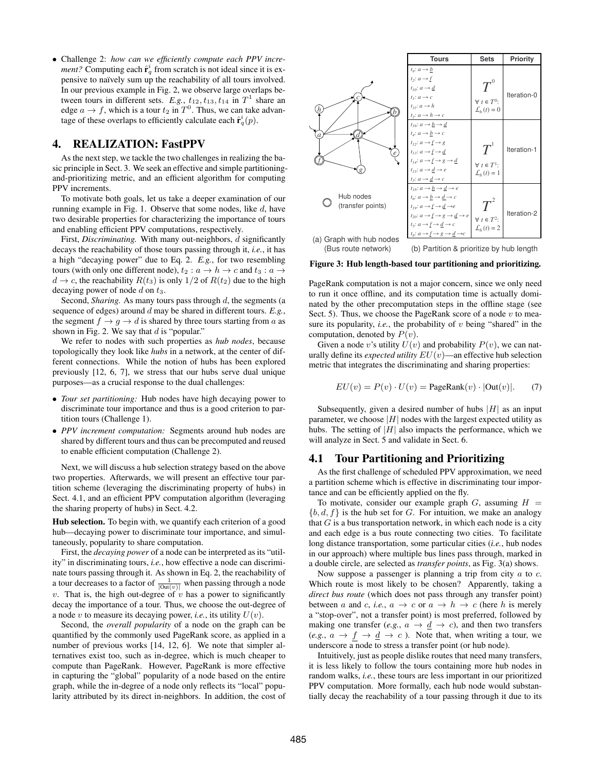• Challenge 2: *how can we efficiently compute each PPV increment?* Computing each  $\hat{\mathbf{r}}_q^i$  from scratch is not ideal since it is expensive to naïvely sum up the reachability of all tours involved. In our previous example in Fig. 2, we observe large overlaps between tours in different sets. E.g.,  $t_{12}$ ,  $t_{13}$ ,  $t_{14}$  in  $T<sup>1</sup>$  share an edge  $a \to f$ , which is a tour  $t_2$  in  $T^0$ . Thus, we can take advantage of these overlaps to efficiently calculate each  $\hat{\mathbf{r}}_q^i(p)$ .

# 4. REALIZATION: FastPPV

As the next step, we tackle the two challenges in realizing the basic principle in Sect. 3. We seek an effective and simple partitioningand-prioritizing metric, and an efficient algorithm for computing PPV increments.

To motivate both goals, let us take a deeper examination of our running example in Fig. 1. Observe that some nodes, like  $d$ , have two desirable properties for characterizing the importance of tours and enabling efficient PPV computations, respectively.

First, *Discriminating*. With many out-neighbors, *d* significantly decays the reachability of those tours passing through it, *i.e.*, it has a high "decaying power" due to Eq. 2. *E.g.*, for two resembling tours (with only one different node),  $t_2 : a \rightarrow h \rightarrow c$  and  $t_3 : a \rightarrow$  $d \rightarrow c$ , the reachability  $R(t_3)$  is only 1/2 of  $R(t_2)$  due to the high decaying power of node  $d$  on  $t_3$ .

Second, *Sharing*. As many tours pass through d, the segments (a sequence of edges) around d may be shared in different tours. *E.g.*, the segment  $f \rightarrow g \rightarrow d$  is shared by three tours starting from a as shown in Fig. 2. We say that  $d$  is "popular."

We refer to nodes with such properties as *hub nodes*, because topologically they look like *hubs* in a network, at the center of different connections. While the notion of hubs has been explored previously [12, 6, 7], we stress that our hubs serve dual unique purposes—as a crucial response to the dual challenges:

- *Tour set partitioning:* Hub nodes have high decaying power to discriminate tour importance and thus is a good criterion to partition tours (Challenge 1).
- *PPV increment computation:* Segments around hub nodes are shared by different tours and thus can be precomputed and reused to enable efficient computation (Challenge 2).

Next, we will discuss a hub selection strategy based on the above two properties. Afterwards, we will present an effective tour partition scheme (leveraging the discriminating property of hubs) in Sect. 4.1, and an efficient PPV computation algorithm (leveraging the sharing property of hubs) in Sect. 4.2.

Hub selection. To begin with, we quantify each criterion of a good hub—decaying power to discriminate tour importance, and simultaneously, popularity to share computation.

First, the *decaying power* of a node can be interpreted as its "utility" in discriminating tours, *i.e.*, how effective a node can discriminate tours passing through it. As shown in Eq. 2, the reachability of a tour decreases to a factor of  $\frac{1}{|\text{Out}(v)|}$  when passing through a node v. That is, the high out-degree of  $v$  has a power to significantly decay the importance of a tour. Thus, we choose the out-degree of a node v to measure its decaying power, *i.e.*, its utility  $U(v)$ .

Second, the *overall popularity* of a node on the graph can be quantified by the commonly used PageRank score, as applied in a number of previous works [14, 12, 6]. We note that simpler alternatives exist too, such as in-degree, which is much cheaper to compute than PageRank. However, PageRank is more effective in capturing the "global" popularity of a node based on the entire graph, while the in-degree of a node only reflects its "local" popularity attributed by its direct in-neighbors. In addition, the cost of



(Bus route network) (b) Partition & prioritize by hub length

Figure 3: Hub length-based tour partitioning and prioritizing.

PageRank computation is not a major concern, since we only need to run it once offline, and its computation time is actually dominated by the other precomputation steps in the offline stage (see Sect. 5). Thus, we choose the PageRank score of a node  $v$  to measure its popularity, *i.e.*, the probability of  $v$  being "shared" in the computation, denoted by  $P(v)$ .

Given a node v's utility  $U(v)$  and probability  $P(v)$ , we can naturally define its *expected utility*  $EU(v)$ —an effective hub selection metric that integrates the discriminating and sharing properties:

$$
EU(v) = P(v) \cdot U(v) = \text{PageRank}(v) \cdot |\text{Out}(v)|. \tag{7}
$$

Subsequently, given a desired number of hubs  $|H|$  as an input parameter, we choose  $|H|$  nodes with the largest expected utility as hubs. The setting of  $|H|$  also impacts the performance, which we will analyze in Sect. 5 and validate in Sect. 6.

## 4.1 Tour Partitioning and Prioritizing

As the first challenge of scheduled PPV approximation, we need a partition scheme which is effective in discriminating tour importance and can be efficiently applied on the fly.

To motivate, consider our example graph  $G$ , assuming  $H =$  ${b, d, f}$  is the hub set for G. For intuition, we make an analogy that  $G$  is a bus transportation network, in which each node is a city and each edge is a bus route connecting two cities. To facilitate long distance transportation, some particular cities (*i.e.*, hub nodes in our approach) where multiple bus lines pass through, marked in a double circle, are selected as *transfer points*, as Fig. 3(a) shows.

Now suppose a passenger is planning a trip from city  $a$  to  $c$ . Which route is most likely to be chosen? Apparently, taking a *direct bus route* (which does not pass through any transfer point) between a and c, *i.e.*,  $a \rightarrow c$  or  $a \rightarrow h \rightarrow c$  (here h is merely a "stop-over", not a transfer point) is most preferred, followed by making one transfer (*e.g.*,  $a \rightarrow \underline{d} \rightarrow c$ ), and then two transfers  $(e.g., a \rightarrow f \rightarrow d \rightarrow c)$ . Note that, when writing a tour, we underscore a node to stress a transfer point (or hub node).

Intuitively, just as people dislike routes that need many transfers, it is less likely to follow the tours containing more hub nodes in random walks, *i.e.*, these tours are less important in our prioritized PPV computation. More formally, each hub node would substantially decay the reachability of a tour passing through it due to its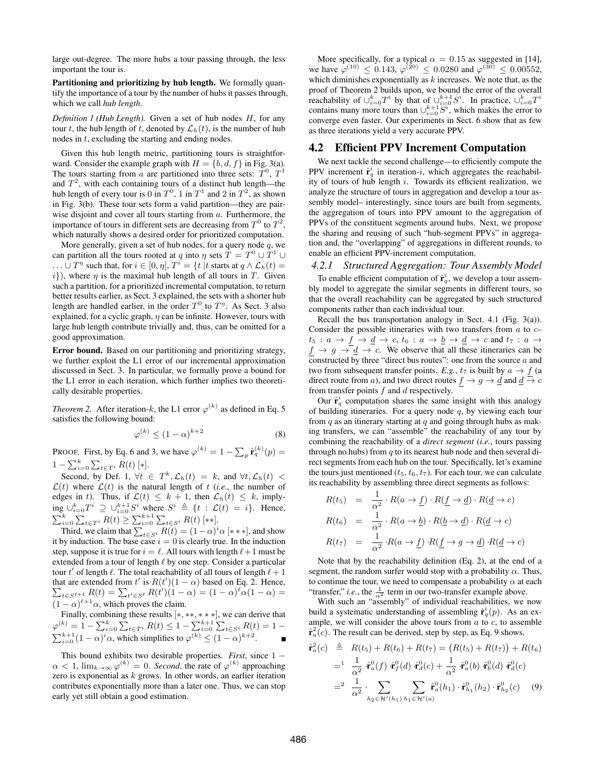large out-degree. The more hubs a tour passing through, the less important the tour is.

Partitioning and prioritizing by hub length. We formally quantify the importance of a tour by the number of hubs it passes through, which we call *hub length*.

*Definition 1 (Hub Length).* Given a set of hub nodes H, for any tour t, the hub length of t, denoted by  $\mathcal{L}_h(t)$ , is the number of hub nodes in t, excluding the starting and ending nodes.

Given this hub length metric, partitioning tours is straightforward. Consider the example graph with  $H = \{b, d, f\}$  in Fig. 3(a). The tours starting from a are partitioned into three sets:  $T^0$ ,  $T^1$ and  $T^2$ , with each containing tours of a distinct hub length—the hub length of every tour is 0 in  $T^0$ , 1 in  $T^1$  and 2 in  $T^2$ , as shown in Fig. 3(b). These tour sets form a valid partition—they are pairwise disjoint and cover all tours starting from a. Furthermore, the importance of tours in different sets are decreasing from  $T^0$  to  $T^2$ , which naturally shows a desired order for prioritized computation.

More generally, given a set of hub nodes, for a query node  $q$ , we can partition all the tours rooted at q into  $\eta$  sets  $T = T^0 \cup T^1 \cup$  $\ldots \cup T^{\eta}$  such that, for  $i \in [0, \eta], T^i = \{t | t \text{ starts at } q \wedge \mathcal{L}_h(t) =$  $i$ ), where  $\eta$  is the maximal hub length of all tours in T. Given such a partition, for a prioritized incremental computation, to return better results earlier, as Sect. 3 explained, the sets with a shorter hub length are handled earlier, in the order  $T^0$  to  $T^{\eta}$ . As Sect. 3 also explained, for a cyclic graph,  $\eta$  can be infinite. However, tours with large hub length contribute trivially and, thus, can be omitted for a good approximation.

Error bound. Based on our partitioning and prioritizing strategy, we further exploit the L1 error of our incremental approximation discussed in Sect. 3. In particular, we formally prove a bound for the L1 error in each iteration, which further implies two theoretically desirable properties.

*Theorem* 2. After iteration-k, the L1 error  $\varphi^{(k)}$  as defined in Eq. 5 satisfies the following bound:

$$
\varphi^{(k)} \le (1 - \alpha)^{k+2} \tag{8}
$$

PROOF. First, by Eq. 6 and 3, we have  $\varphi^{(k)} = 1 - \sum_p \hat{\mathbf{r}}_q^{(k)}(p) =$  $1 - \sum_{i=0}^{k} \sum_{t \in T^i} R(t)$  [\*].

Second, by Def. 1,  $\forall t \in T^k$ ,  $\mathcal{L}_h(t) = k$ , and  $\forall t$ ,  $\mathcal{L}_h(t)$  <  $\mathcal{L}(t)$  where  $\mathcal{L}(t)$  is the natural length of t (*i.e.*, the number of edges in t). Thus, if  $\mathcal{L}(t) \leq k + 1$ , then  $\mathcal{L}_h(t) \leq k$ , implying ∪ $_{i=0}^k T^i$  ⊇ ∪ $_{i=0}^{k+1} S^i$  where  $S^i$  ≜ { $t : \mathcal{L}(t) = i$ }. Hence,  $\sum_{i=0}^{k} \sum_{t \in T^i} R(t) \ge \sum_{i=0}^{k+1} \sum_{t \in S^i} R(t)$  [\*\*].

Third, we claim that  $\sum_{t \in S^i} R(t) = (1 - \alpha)^i \alpha$  [\*\*\*], and show it by induction. The base case  $i = 0$  is clearly true. In the induction step, suppose it is true for  $i = \ell$ . All tours with length  $\ell + 1$  must be extended from a tour of length  $\ell$  by one step. Consider a particular tour  $t'$  of length  $\ell$ . The total reachability of all tours of length  $\ell + 1$ that are extended from t' is  $R(t')(1 - \alpha)$  based on Eq. 2. Hence,  $\sum_{t \in S^{\ell+1}} R(t) = \sum_{t' \in S^{\ell}} R(t') (1 - \alpha) = (1 - \alpha)^{\ell} \alpha (1 - \alpha) =$  $(1 - \alpha)^{\ell+1} \alpha$ , which proves the claim.

Finally, combining these results [∗, ∗∗, ∗ ∗ ∗], we can derive that  $\varphi^{(k)} = 1 - \sum_{i=0}^{k} \sum_{t \in T^i} R(t) \leq 1 - \sum_{i=0}^{k+1} \sum_{t \in S^i} R(t) = 1 \sum_{i=0}^{k+1} (1 - \alpha)^i \alpha$ , which simplifies to  $\varphi^{(k)} \le (1 - \alpha)^{k+2}$ .

This bound exhibits two desirable properties. *First*, since 1 −  $\alpha < 1$ ,  $\lim_{k \to \infty} \varphi^{(k)} = 0$ . *Second*, the rate of  $\varphi^{(k)}$  approaching zero is exponential as  $k$  grows. In other words, an earlier iteration contributes exponentially more than a later one. Thus, we can stop early yet still obtain a good estimation.

More specifically, for a typical  $\alpha = 0.15$  as suggested in [14], we have  $\varphi^{(10)} \le 0.143$ ,  $\varphi^{(20)} \le 0.0280$  and  $\varphi^{(30)} \le 0.00552$ , which diminishes exponentially as  $k$  increases. We note that, as the proof of Theorem 2 builds upon, we bound the error of the overall reachability of  $\cup_{i=0}^k T^i$  by that of  $\cup_{i=0}^{k+1} S^i$ . In practice,  $\cup_{i=0}^k T^i$ contains many more tours than  $\cup_{i=0}^{k+1} S^i$ , which makes the error to converge even faster. Our experiments in Sect. 6 show that as few as three iterations yield a very accurate PPV.

#### 4.2 Efficient PPV Increment Computation

We next tackle the second challenge—to efficiently compute the PPV increment  $\hat{\mathbf{r}}_q^i$  in iteration-i, which aggregates the reachability of tours of hub length  $i$ . Towards its efficient realization, we analyze the structure of tours in aggregation and develop a tour assembly model– interestingly, since tours are built from segments, the aggregation of tours into PPV amount to the aggregation of PPVs of the constituent segments around hubs. Next, we propose the sharing and reusing of such "hub-segment PPVs" in aggregation and, the "overlapping" of aggregations in different rounds, to enable an efficient PPV-increment computation.

#### *4.2.1 Structured Aggregation: Tour Assembly Model*

To enable efficient computation of  $\hat{\mathbf{r}}_q^i$ , we develop a tour assembly model to aggregate the similar segments in different tours, so that the overall reachability can be aggregated by such structured components rather than each individual tour.

Recall the bus transportation analogy in Sect. 4.1 (Fig. 3(a)). Consider the possible itineraries with two transfers from  $a$  to  $c$  $t_5: a \rightarrow \underline{f} \rightarrow \underline{d} \rightarrow c, t_6: a \rightarrow \underline{b} \rightarrow \underline{d} \rightarrow c$  and  $t_7: a \rightarrow$  $f \rightarrow g \rightarrow d$   $\rightarrow c$ . We observe that all these itineraries can be constructed by three "direct bus routes": one from the source  $a$  and two from subsequent transfer points. *E.g.*,  $t_7$  is built by  $a \rightarrow f$  (a direct route from a), and two direct routes  $f \to g \to d$  and  $\overline{d} \to c$ from transfer points  $f$  and  $d$  respectively.

Our  $\hat{\mathbf{r}}_q^i$  computation shares the same insight with this analogy of building itineraries. For a query node  $q$ , by viewing each tour from  $q$  as an itinerary starting at  $q$  and going through hubs as making transfers, we can "assemble" the reachability of any tour by combining the reachability of a *direct segment* (*i.e.*, tours passing through no hubs) from  $q$  to its nearest hub node and then several direct segments from each hub on the tour. Specifically, let's examine the tours just mentioned  $(t_5, t_6, t_7)$ . For each tour, we can calculate its reachability by assembling three direct segments as follows:

$$
R(t_5) = \frac{1}{\alpha^2} \cdot R(a \to \underline{f}) \cdot R(\underline{f} \to \underline{d}) \cdot R(\underline{d} \to c)
$$
  
\n
$$
R(t_6) = \frac{1}{\alpha^2} \cdot R(a \to \underline{b}) \cdot R(\underline{b} \to \underline{d}) \cdot R(\underline{d} \to c)
$$
  
\n
$$
R(t_7) = \frac{1}{\alpha^2} \cdot R(a \to \underline{f}) \cdot R(\underline{f} \to g \to \underline{d}) \cdot R(\underline{d} \to c)
$$

Note that by the reachability definition (Eq. 2), at the end of a segment, the random surfer would stop with a probability  $\alpha$ . Thus, to continue the tour, we need to compensate a probability  $\alpha$  at each "transfer," *i.e.*, the  $\frac{1}{\alpha^2}$  term in our two-transfer example above.

With such an "assembly" of individual reachabilities, we now build a systematic understanding of assembling  $\hat{\mathbf{r}}_q^i(p)$ . As an example, we will consider the above tours from  $a$  to  $c$ , to assemble  $\hat{\mathbf{r}}_a^2(c)$ . The result can be derived, step by step, as Eq. 9 shows.

$$
\hat{\mathbf{r}}_{a}^{2}(c) \triangleq R(t_{5}) + R(t_{6}) + R(t_{7}) = (R(t_{5}) + R(t_{7})) + R(t_{6})
$$
\n
$$
= \frac{1}{\alpha^{2}} \hat{\mathbf{r}}_{a}^{0}(f) \hat{\mathbf{r}}_{f}^{0}(d) \hat{\mathbf{r}}_{a}^{0}(c) + \frac{1}{\alpha^{2}} \hat{\mathbf{r}}_{a}^{0}(b) \hat{\mathbf{r}}_{b}^{0}(d) \hat{\mathbf{r}}_{a}^{0}(c)
$$
\n
$$
= \frac{1}{\alpha^{2}} \sum_{h_{2} \in \mathcal{H}'(h_{1})} \sum_{h_{1} \in \mathcal{H}'(a)} \hat{\mathbf{r}}_{a}^{0}(h_{1}) \cdot \hat{\mathbf{r}}_{h_{1}}^{0}(h_{2}) \cdot \hat{\mathbf{r}}_{h_{2}}^{0}(c) \quad (9)
$$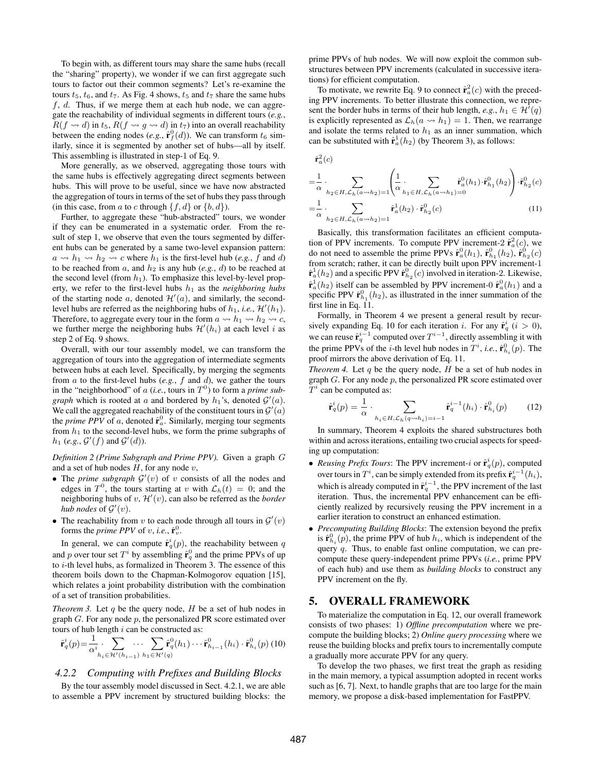To begin with, as different tours may share the same hubs (recall the "sharing" property), we wonder if we can first aggregate such tours to factor out their common segments? Let's re-examine the tours  $t_5$ ,  $t_6$ , and  $t_7$ . As Fig. 4 shows,  $t_5$  and  $t_7$  share the same hubs  $f, d.$  Thus, if we merge them at each hub node, we can aggregate the reachability of individual segments in different tours (*e.g.*,  $R(f \leadsto d)$  in  $t_5$ ,  $R(f \leadsto g \leadsto d)$  in  $t_7$ ) into an overall reachability between the ending nodes  $(e.g.,  $\hat{\mathbf{r}}_f^0(d)$ ). We can transform  $t_6$  sim$ ilarly, since it is segmented by another set of hubs—all by itself. This assembling is illustrated in step-1 of Eq. 9.

More generally, as we observed, aggregating those tours with the same hubs is effectively aggregating direct segments between hubs. This will prove to be useful, since we have now abstracted the aggregation of tours in terms of the set of hubs they pass through (in this case, from a to c through  $\{f, d\}$  or  $\{b, d\}$ ).

Further, to aggregate these "hub-abstracted" tours, we wonder if they can be enumerated in a systematic order. From the result of step 1, we observe that even the tours segmented by different hubs can be generated by a same two-level expansion pattern:  $a \rightsquigarrow h_1 \rightsquigarrow h_2 \rightsquigarrow c$  where  $h_1$  is the first-level hub (*e.g.*, f and d) to be reached from  $a$ , and  $h_2$  is any hub ( $e.g., d$ ) to be reached at the second level (from  $h_1$ ). To emphasize this level-by-level property, we refer to the first-level hubs  $h_1$  as the *neighboring hubs* of the starting node a, denoted  $\mathcal{H}'(a)$ , and similarly, the secondlevel hubs are referred as the neighboring hubs of  $h_1$ , *i.e.*,  $\mathcal{H}'(h_1)$ . Therefore, to aggregate every tour in the form  $a \rightsquigarrow h_1 \rightsquigarrow h_2 \rightsquigarrow c$ , we further merge the neighboring hubs  $\mathcal{H}'(h_i)$  at each level i as step 2 of Eq. 9 shows.

Overall, with our tour assembly model, we can transform the aggregation of tours into the aggregation of intermediate segments between hubs at each level. Specifically, by merging the segments from  $a$  to the first-level hubs ( $e.g., f$  and  $d$ ), we gather the tours in the "neighborhood" of  $a$  (*i.e.*, tours in  $T^0$ ) to form a *prime subgraph* which is rooted at a and bordered by  $h_1$ 's, denoted  $\mathcal{G}'(a)$ . We call the aggregated reachability of the constituent tours in  $\mathcal{G}'(a)$ the *prime PPV* of a, denoted  $\hat{\mathbf{r}}_a^0$ . Similarly, merging tour segments from  $h_1$  to the second-level hubs, we form the prime subgraphs of  $h_1$  (*e.g.*,  $\mathcal{G}'(f)$  and  $\mathcal{G}'(d)$ ).

*Definition 2 (Prime Subgraph and Prime PPV).* Given a graph G and a set of hub nodes  $H$ , for any node  $v$ ,

- The *prime subgraph*  $G'(v)$  of v consists of all the nodes and edges in  $T^0$ , the tours starting at v with  $\mathcal{L}_h(t) = 0$ ; and the neighboring hubs of  $v$ ,  $\mathcal{H}'(v)$ , can also be referred as the *border* hub nodes of  $\mathcal{G}'(v)$ .
- The reachability from v to each node through all tours in  $\mathcal{G}'(v)$ forms the *prime PPV* of v, *i.e.*,  $\hat{\mathbf{r}}_v^0$ .

In general, we can compute  $\hat{\mathbf{r}}_q^i(p)$ , the reachability between q and p over tour set  $T^i$  by assembling  $\hat{\mathbf{r}}_q^0$  and the prime PPVs of up to i-th level hubs, as formalized in Theorem 3. The essence of this theorem boils down to the Chapman-Kolmogorov equation [15], which relates a joint probability distribution with the combination of a set of transition probabilities.

*Theorem 3.* Let  $q$  be the query node,  $H$  be a set of hub nodes in graph  $G$ . For any node  $p$ , the personalized PR score estimated over tours of hub length  $i$  can be constructed as:

$$
\hat{\mathbf{r}}_q^i(p) = \frac{1}{\alpha^i} \sum_{h_i \in \mathcal{H}'(h_{i-1})} \dots \sum_{h_1 \in \mathcal{H}'(q)} \hat{\mathbf{r}}_q^0(h_1) \cdots \hat{\mathbf{r}}_{h_{i-1}}^0(h_i) \cdot \hat{\mathbf{r}}_{h_i}^0(p) \tag{10}
$$

#### *4.2.2 Computing with Prefixes and Building Blocks*

By the tour assembly model discussed in Sect. 4.2.1, we are able to assemble a PPV increment by structured building blocks: the prime PPVs of hub nodes. We will now exploit the common substructures between PPV increments (calculated in successive iterations) for efficient computation.

To motivate, we rewrite Eq. 9 to connect  $\hat{\mathbf{r}}_a^2(c)$  with the preceding PPV increments. To better illustrate this connection, we represent the border hubs in terms of their hub length, *e.g.*,  $h_1 \in H^{\gamma}(q)$ is explicitly represented as  $\mathcal{L}_h(a \leadsto h_1) = 1$ . Then, we rearrange and isolate the terms related to  $h_1$  as an inner summation, which can be substituted with  $\hat{\mathbf{r}}_a^1(h_2)$  (by Theorem 3), as follows:

 $\hat{\mathbf{r}}_a^2(c)$  $\sum$  $\left(\frac{1}{2}\right)$ 

$$
= \frac{1}{\alpha} \cdot \sum_{h_2 \in H, \mathcal{L}_h(a \leadsto h_2) = 1} \left( \frac{1}{\alpha} \cdot \sum_{h_1 \in H, \mathcal{L}_h(a \leadsto h_1) = 0} \hat{\mathbf{r}}_a^0(h_1) \cdot \hat{\mathbf{r}}_{h_1}^0(h_2) \right) \cdot \hat{\mathbf{r}}_{h_2}^0(c)
$$
  

$$
= \frac{1}{\alpha} \cdot \sum_{h_2 \in H, \mathcal{L}_h(a \leadsto h_2) = 1} \hat{\mathbf{r}}_a^1(h_2) \cdot \hat{\mathbf{r}}_{h_2}^0(c)
$$
(11)

 $\setminus$ 

Basically, this transformation facilitates an efficient computation of PPV increments. To compute PPV increment-2  $\hat{\mathbf{r}}_a^2(c)$ , we do not need to assemble the prime PPVs  $\hat{\mathbf{r}}_a^0(h_1)$ ,  $\hat{\mathbf{r}}_{h_1}^0(h_2)$ ,  $\hat{\mathbf{r}}_{h_2}^0(c)$ from scratch; rather, it can be directly built upon PPV increment-1  $\hat{\mathbf{r}}_a^1(h_2)$  and a specific PPV  $\hat{\mathbf{r}}_{h_2}^0(c)$  involved in iteration-2. Likewise,  $\hat{\mathbf{r}}_a^1(h_2)$  itself can be assembled by PPV increment-0  $\hat{\mathbf{r}}_a^0(h_1)$  and a specific PPV  $\hat{\mathbf{r}}_{h_1}^{0}(h_2)$ , as illustrated in the inner summation of the first line in Eq. 11.

Formally, in Theorem 4 we present a general result by recursively expanding Eq. 10 for each iteration i. For any  $\hat{\mathbf{r}}_q^i$  (i > 0), we can reuse  $\hat{\mathbf{r}}_q^{i-1}$  computed over  $T^{i-1}$ , directly assembling it with the prime PPVs of the *i*-th level hub nodes in  $T^i$ , *i.e.*,  $\hat{\mathbf{r}}_{h_i}^0(p)$ . The proof mirrors the above derivation of Eq. 11.

*Theorem 4.* Let  $q$  be the query node,  $H$  be a set of hub nodes in graph  $G$ . For any node  $p$ , the personalized PR score estimated over  $T^i$  can be computed as:

$$
\hat{\mathbf{r}}_q^i(p) = \frac{1}{\alpha} \cdot \sum_{h_i \in H, \mathcal{L}_h(q \sim h_i) = i-1} \hat{\mathbf{r}}_q^{i-1}(h_i) \cdot \hat{\mathbf{r}}_{h_i}^0(p) \tag{12}
$$

In summary, Theorem 4 exploits the shared substructures both within and across iterations, entailing two crucial aspects for speeding up computation:

- *Reusing Prefix Tours*: The PPV increment-*i* or  $\hat{\mathbf{r}}_q^i(p)$ , computed over tours in  $T^i$ , can be simply extended from its prefix  $\hat{\mathbf{r}}_q^{i-1}(h_i)$ , which is already computed in  $\hat{\mathbf{r}}_q^{i-1}$ , the PPV increment of the last iteration. Thus, the incremental PPV enhancement can be efficiently realized by recursively reusing the PPV increment in a earlier iteration to construct an enhanced estimation.
- *Precomputing Building Blocks*: The extension beyond the prefix is  $\hat{\mathbf{r}}_{h_i}^0(p)$ , the prime PPV of hub  $h_i$ , which is independent of the query  $q$ . Thus, to enable fast online computation, we can precompute these query-independent prime PPVs (*i.e.*, prime PPV of each hub) and use them as *building blocks* to construct any PPV increment on the fly.

## 5. OVERALL FRAMEWORK

To materialize the computation in Eq. 12, our overall framework consists of two phases: 1) *Offline precomputation* where we precompute the building blocks; 2) *Online query processing* where we reuse the building blocks and prefix tours to incrementally compute a gradually more accurate PPV for any query.

To develop the two phases, we first treat the graph as residing in the main memory, a typical assumption adopted in recent works such as [6, 7]. Next, to handle graphs that are too large for the main memory, we propose a disk-based implementation for FastPPV.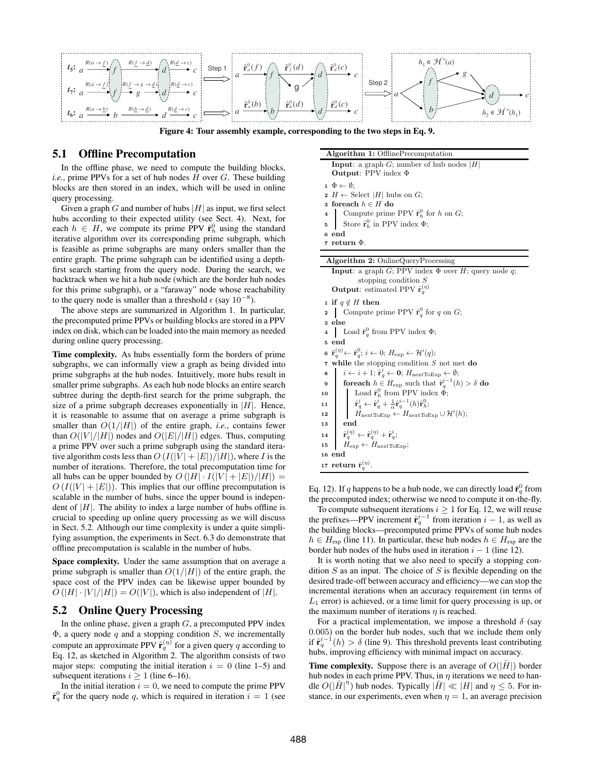

Figure 4: Tour assembly example, corresponding to the two steps in Eq. 9.

# 5.1 Offline Precomputation

In the offline phase, we need to compute the building blocks, *i.e.*, prime PPVs for a set of hub nodes  $H$  over  $G$ . These building blocks are then stored in an index, which will be used in online query processing.

Given a graph  $G$  and number of hubs  $|H|$  as input, we first select hubs according to their expected utility (see Sect. 4). Next, for each  $h \in H$ , we compute its prime PPV  $\hat{\mathbf{r}}_h^0$  using the standard iterative algorithm over its corresponding prime subgraph, which is feasible as prime subgraphs are many orders smaller than the entire graph. The prime subgraph can be identified using a depthfirst search starting from the query node. During the search, we backtrack when we hit a hub node (which are the border hub nodes for this prime subgraph), or a "faraway" node whose reachability to the query node is smaller than a threshold  $\epsilon$  (say 10<sup>-8</sup>).

The above steps are summarized in Algorithm 1. In particular, the precomputed prime PPVs or building blocks are stored in a PPV index on disk, which can be loaded into the main memory as needed during online query processing.

Time complexity. As hubs essentially form the borders of prime subgraphs, we can informally view a graph as being divided into prime subgraphs at the hub nodes. Intuitively, more hubs result in smaller prime subgraphs. As each hub node blocks an entire search subtree during the depth-first search for the prime subgraph, the size of a prime subgraph decreases exponentially in  $|H|$ . Hence, it is reasonable to assume that on average a prime subgraph is smaller than  $O(1/|H|)$  of the entire graph, *i.e.*, contains fewer than  $O(|V|/|H|)$  nodes and  $O(|E|/|H|)$  edges. Thus, computing a prime PPV over such a prime subgraph using the standard iterative algorithm costs less than  $O (I(|V| + |E|)/|H|)$ , where I is the number of iterations. Therefore, the total precomputation time for all hubs can be upper bounded by  $O(|H| \cdot I(|V| + |E|)/|H|) =$  $O(I(|V| + |E|))$ . This implies that our offline precomputation is scalable in the number of hubs, since the upper bound is independent of  $|H|$ . The ability to index a large number of hubs offline is crucial to speeding up online query processing as we will discuss in Sect. 5.2. Although our time complexity is under a quite simplifying assumption, the experiments in Sect. 6.3 do demonstrate that offline precomputation is scalable in the number of hubs.

Space complexity. Under the same assumption that on average a prime subgraph is smaller than  $O(1/|H|)$  of the entire graph, the space cost of the PPV index can be likewise upper bounded by  $O(|H| \cdot |V|/|H|) = O(|V|)$ , which is also independent of |H|.

# 5.2 Online Query Processing

In the online phase, given a graph  $G$ , a precomputed PPV index  $\Phi$ , a query node  $q$  and a stopping condition  $S$ , we incrementally compute an approximate PPV  $\hat{\mathbf{r}}_q^{(\eta)}$  for a given query q according to Eq. 12, as sketched in Algorithm 2. The algorithm consists of two major steps: computing the initial iteration  $i = 0$  (line 1–5) and subsequent iterations  $i \ge 1$  (line 6–16).

In the initial iteration  $i = 0$ , we need to compute the prime PPV  $\hat{\mathbf{r}}_q^0$  for the query node q, which is required in iteration  $i = 1$  (see

| Algorithm 1: OfflinePrecomputation                 |  |  |  |  |  |  |  |  |
|----------------------------------------------------|--|--|--|--|--|--|--|--|
| <b>Input:</b> a graph G; number of hub nodes $ H $ |  |  |  |  |  |  |  |  |
| <b>Output:</b> PPV index $\Phi$                    |  |  |  |  |  |  |  |  |

 $\mathbf{1} \Phi \leftarrow \emptyset$ :

2  $H \leftarrow$  Select |H| hubs on G;

- 3 foreach  $h \in H$  do 4 | Compute prime
- 4 Compute prime PPV  $\hat{\mathbf{r}}_h^0$  for h on G;
- 5 Store  $\hat{\mathbf{r}}_h^0$  in PPV index  $\Phi$ ;
- 6 end

7 return  $\Phi$ 

Algorithm 2: OnlineQueryProcessing

| <b>Input:</b> a graph G; PPV index $\Phi$ over H; query node q;                                                                                                                                                                                                                                                                                 |  |
|-------------------------------------------------------------------------------------------------------------------------------------------------------------------------------------------------------------------------------------------------------------------------------------------------------------------------------------------------|--|
| stopping condition $S$                                                                                                                                                                                                                                                                                                                          |  |
| <b>Output:</b> estimated PPV $\hat{\mathbf{r}}_a^{(\eta)}$                                                                                                                                                                                                                                                                                      |  |
| 1 if $q \notin H$ then                                                                                                                                                                                                                                                                                                                          |  |
| 2 Compute prime PPV $\hat{\mathbf{r}}_q^0$ for q on G;                                                                                                                                                                                                                                                                                          |  |
| 3 else                                                                                                                                                                                                                                                                                                                                          |  |
| Load $\hat{\mathbf{r}}_q^0$ from PPV index $\Phi$ ;                                                                                                                                                                                                                                                                                             |  |
| 5 end                                                                                                                                                                                                                                                                                                                                           |  |
| 6 $\hat{\mathbf{r}}_a^{(\eta)} \leftarrow \hat{\mathbf{r}}_a^0$ ; $i \leftarrow 0$ ; $H_{\text{exp}} \leftarrow \mathcal{H}'(q)$ ;                                                                                                                                                                                                              |  |
| <b>7</b> while the stopping condition S not met do                                                                                                                                                                                                                                                                                              |  |
| $i \leftarrow i+1; \, \hat{\mathbf{r}}_q^i \leftarrow \mathbf{0}; H_{\text{nextToExp}} \leftarrow \emptyset;$<br>8                                                                                                                                                                                                                              |  |
| for each $h \in H_{\text{exp}}$ such that $\hat{r}_q^{i-1}(h) > \delta$ do<br>$\bf{9}$                                                                                                                                                                                                                                                          |  |
| Load $\hat{\mathbf{r}}_h^0$ from PPV index $\Phi$ ;                                                                                                                                                                                                                                                                                             |  |
| $\begin{tabular}{c c} \textbf{10} & \textbf{Load} $\hat{\mathbf{r}}_h^{\textbf{i}}$ from PPV ind \\ \hline \textbf{11} & $\hat{\mathbf{r}}_q^i \leftarrow \hat{\mathbf{r}}_q^i + \frac{1}{\alpha} \hat{\mathbf{r}}_q^{i-1}(h) \hat{\mathbf{r}}_h^0$; \\ \textbf{12} & \textbf{H}_{\text{nextToExp}} \leftarrow H_{\text{nextTo}} \end{tabular}$ |  |
| $H_{\text{nextToExp}} \leftarrow H_{\text{nextToExp}} \cup \mathcal{H}'(h);$                                                                                                                                                                                                                                                                    |  |
| $_{\rm end}$<br>13                                                                                                                                                                                                                                                                                                                              |  |
| $\hat{\mathbf{r}}_{q}^{(\eta)} \leftarrow \hat{\mathbf{r}}_{q}^{(\eta)} + \hat{\mathbf{r}}_{q}^{i};$<br>14                                                                                                                                                                                                                                      |  |
| $H_{\text{exp}} \leftarrow H_{\text{nextToExp}};$<br>15                                                                                                                                                                                                                                                                                         |  |
| 16 end                                                                                                                                                                                                                                                                                                                                          |  |
| 17 return $\hat{\mathbf{r}}_a^{(\eta)}$ .                                                                                                                                                                                                                                                                                                       |  |

Eq. 12). If q happens to be a hub node, we can directly load  $\hat{\mathbf{r}}_q^0$  from the precomputed index; otherwise we need to compute it on-the-fly.

To compute subsequent iterations  $i \geq 1$  for Eq. 12, we will reuse the prefixes—PPV increment  $\hat{\mathbf{r}}_q^{i-1}$  from iteration  $i-1$ , as well as the building blocks—precomputed prime PPVs of some hub nodes  $h \in H_{\text{exp}}$  (line 11). In particular, these hub nodes  $h \in H_{\text{exp}}$  are the border hub nodes of the hubs used in iteration  $i - 1$  (line 12).

It is worth noting that we also need to specify a stopping condition  $S$  as an input. The choice of  $S$  is flexible depending on the desired trade-off between accuracy and efficiency—we can stop the incremental iterations when an accuracy requirement (in terms of  $L_1$  error) is achieved, or a time limit for query processing is up, or the maximum number of iterations  $\eta$  is reached.

For a practical implementation, we impose a threshold  $\delta$  (say 0.005) on the border hub nodes, such that we include them only if  $\hat{\mathbf{r}}_q^{i-1}(h) > \delta$  (line 9). This threshold prevents least contributing hubs, improving efficiency with minimal impact on accuracy.

**Time complexity.** Suppose there is an average of  $O(|\bar{H}|)$  border hub nodes in each prime PPV. Thus, in  $\eta$  iterations we need to handle  $O(|\bar{H}|^{\eta})$  hub nodes. Typically  $|\bar{H}| \ll |H|$  and  $\eta \leq 5$ . For instance, in our experiments, even when  $\eta = 1$ , an average precision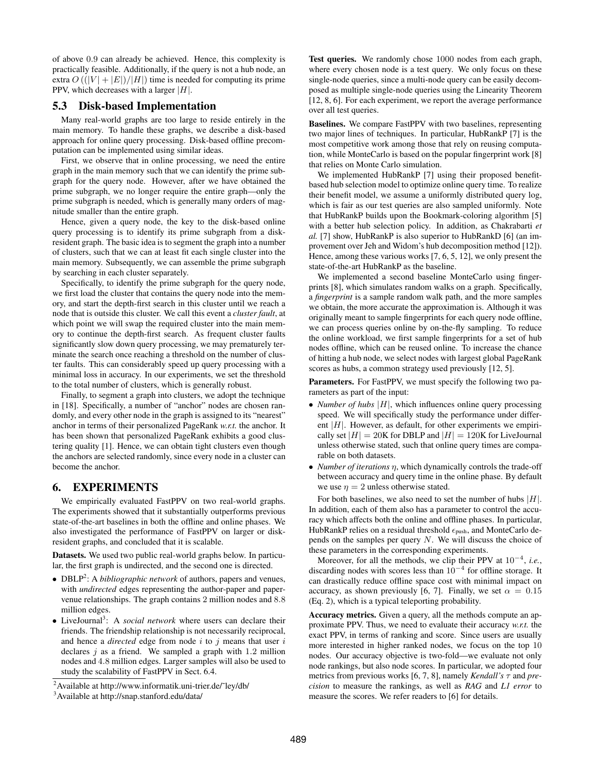of above 0.9 can already be achieved. Hence, this complexity is practically feasible. Additionally, if the query is not a hub node, an extra  $O((|V| + |E|)/|H|)$  time is needed for computing its prime PPV, which decreases with a larger  $|H|$ .

#### 5.3 Disk-based Implementation

Many real-world graphs are too large to reside entirely in the main memory. To handle these graphs, we describe a disk-based approach for online query processing. Disk-based offline precomputation can be implemented using similar ideas.

First, we observe that in online processing, we need the entire graph in the main memory such that we can identify the prime subgraph for the query node. However, after we have obtained the prime subgraph, we no longer require the entire graph—only the prime subgraph is needed, which is generally many orders of magnitude smaller than the entire graph.

Hence, given a query node, the key to the disk-based online query processing is to identify its prime subgraph from a diskresident graph. The basic idea is to segment the graph into a number of clusters, such that we can at least fit each single cluster into the main memory. Subsequently, we can assemble the prime subgraph by searching in each cluster separately.

Specifically, to identify the prime subgraph for the query node, we first load the cluster that contains the query node into the memory, and start the depth-first search in this cluster until we reach a node that is outside this cluster. We call this event a *cluster fault*, at which point we will swap the required cluster into the main memory to continue the depth-first search. As frequent cluster faults significantly slow down query processing, we may prematurely terminate the search once reaching a threshold on the number of cluster faults. This can considerably speed up query processing with a minimal loss in accuracy. In our experiments, we set the threshold to the total number of clusters, which is generally robust.

Finally, to segment a graph into clusters, we adopt the technique in [18]. Specifically, a number of "anchor" nodes are chosen randomly, and every other node in the graph is assigned to its "nearest" anchor in terms of their personalized PageRank *w.r.t.* the anchor. It has been shown that personalized PageRank exhibits a good clustering quality [1]. Hence, we can obtain tight clusters even though the anchors are selected randomly, since every node in a cluster can become the anchor.

# 6. EXPERIMENTS

We empirically evaluated FastPPV on two real-world graphs. The experiments showed that it substantially outperforms previous state-of-the-art baselines in both the offline and online phases. We also investigated the performance of FastPPV on larger or diskresident graphs, and concluded that it is scalable.

Datasets. We used two public real-world graphs below. In particular, the first graph is undirected, and the second one is directed.

- DBLP<sup>2</sup>: A *bibliographic network* of authors, papers and venues, with *undirected* edges representing the author-paper and papervenue relationships. The graph contains 2 million nodes and 8.8 million edges.
- LiveJournal<sup>3</sup>: A *social network* where users can declare their friends. The friendship relationship is not necessarily reciprocal, and hence a *directed* edge from node  $i$  to  $j$  means that user  $i$ declares  $j$  as a friend. We sampled a graph with 1.2 million nodes and 4.8 million edges. Larger samples will also be used to study the scalability of FastPPV in Sect. 6.4.

Test queries. We randomly chose 1000 nodes from each graph, where every chosen node is a test query. We only focus on these single-node queries, since a multi-node query can be easily decomposed as multiple single-node queries using the Linearity Theorem [12, 8, 6]. For each experiment, we report the average performance over all test queries.

Baselines. We compare FastPPV with two baselines, representing two major lines of techniques. In particular, HubRankP [7] is the most competitive work among those that rely on reusing computation, while MonteCarlo is based on the popular fingerprint work [8] that relies on Monte Carlo simulation.

We implemented HubRankP [7] using their proposed benefitbased hub selection model to optimize online query time. To realize their benefit model, we assume a uniformly distributed query log, which is fair as our test queries are also sampled uniformly. Note that HubRankP builds upon the Bookmark-coloring algorithm [5] with a better hub selection policy. In addition, as Chakrabarti *et al.* [7] show, HubRankP is also superior to HubRankD [6] (an improvement over Jeh and Widom's hub decomposition method [12]). Hence, among these various works [7, 6, 5, 12], we only present the state-of-the-art HubRankP as the baseline.

We implemented a second baseline MonteCarlo using fingerprints [8], which simulates random walks on a graph. Specifically, a *fingerprint* is a sample random walk path, and the more samples we obtain, the more accurate the approximation is. Although it was originally meant to sample fingerprints for each query node offline, we can process queries online by on-the-fly sampling. To reduce the online workload, we first sample fingerprints for a set of hub nodes offline, which can be reused online. To increase the chance of hitting a hub node, we select nodes with largest global PageRank scores as hubs, a common strategy used previously [12, 5].

Parameters. For FastPPV, we must specify the following two parameters as part of the input:

- *Number of hubs* |H|, which influences online query processing speed. We will specifically study the performance under different  $|H|$ . However, as default, for other experiments we empirically set  $|H| = 20$ K for DBLP and  $|H| = 120$ K for LiveJournal unless otherwise stated, such that online query times are comparable on both datasets.
- *Number of iterations* η, which dynamically controls the trade-off between accuracy and query time in the online phase. By default we use  $\eta = 2$  unless otherwise stated.

For both baselines, we also need to set the number of hubs  $|H|$ . In addition, each of them also has a parameter to control the accuracy which affects both the online and offline phases. In particular, HubRankP relies on a residual threshold  $\epsilon_{\text{push}}$ , and MonteCarlo depends on the samples per query  $N$ . We will discuss the choice of these parameters in the corresponding experiments.

Moreover, for all the methods, we clip their PPV at 10<sup>−</sup><sup>4</sup> , *i.e.*, discarding nodes with scores less than  $10^{-4}$  for offline storage. It can drastically reduce offline space cost with minimal impact on accuracy, as shown previously [6, 7]. Finally, we set  $\alpha = 0.15$ (Eq. 2), which is a typical teleporting probability.

Accuracy metrics. Given a query, all the methods compute an approximate PPV. Thus, we need to evaluate their accuracy *w.r.t.* the exact PPV, in terms of ranking and score. Since users are usually more interested in higher ranked nodes, we focus on the top 10 nodes. Our accuracy objective is two-fold—we evaluate not only node rankings, but also node scores. In particular, we adopted four metrics from previous works [6, 7, 8], namely *Kendall's* τ and *precision* to measure the rankings, as well as *RAG* and *L1 error* to measure the scores. We refer readers to [6] for details.

<sup>&</sup>lt;sup>2</sup> Available at http://www.informatik.uni-trier.de/~ley/db/

<sup>3</sup>Available at http://snap.stanford.edu/data/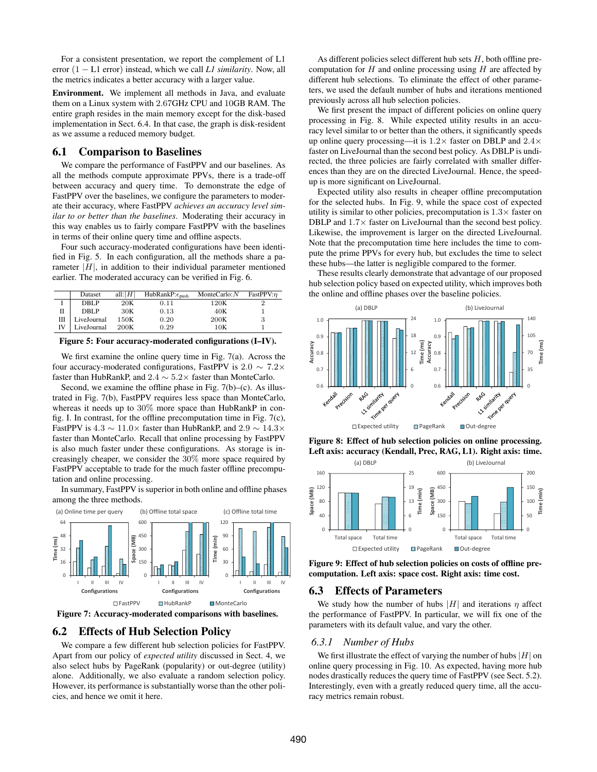For a consistent presentation, we report the complement of L1 error (1 − L1 error) instead, which we call *L1 similarity*. Now, all the metrics indicates a better accuracy with a larger value.

Environment. We implement all methods in Java, and evaluate them on a Linux system with 2.67GHz CPU and 10GB RAM. The entire graph resides in the main memory except for the disk-based implementation in Sect. 6.4. In that case, the graph is disk-resident as we assume a reduced memory budget.

## 6.1 Comparison to Baselines

We compare the performance of FastPPV and our baselines. As all the methods compute approximate PPVs, there is a trade-off between accuracy and query time. To demonstrate the edge of FastPPV over the baselines, we configure the parameters to moderate their accuracy, where FastPPV *achieves an accuracy level similar to or better than the baselines*. Moderating their accuracy in this way enables us to fairly compare FastPPV with the baselines in terms of their online query time and offline aspects.

Four such accuracy-moderated configurations have been identified in Fig. 5. In each configuration, all the methods share a parameter  $|H|$ , in addition to their individual parameter mentioned earlier. The moderated accuracy can be verified in Fig. 6.

|   | Dataset     | all: $ H $ | HubRankP: $\epsilon_{\text{push}}$ | MonteCarlo: $N$ | FastPPV: $\eta$ |
|---|-------------|------------|------------------------------------|-----------------|-----------------|
|   | DBLP        | 20K        | 0.11                               | 120K            |                 |
| П | DBLP        | 30K        | 0.13                               | 40K             |                 |
| Ш | LiveJournal | 150K       | 0.20                               | 200K            | 3               |
|   | LiveJournal | 200K       | 0.29                               | 10K             |                 |

#### Figure 5: Four accuracy-moderated configurations (I–IV).

We first examine the online query time in Fig. 7(a). Across the four accuracy-moderated configurations, FastPPV is  $2.0 \sim 7.2 \times$ faster than HubRankP, and  $2.4 \sim 5.2 \times$  faster than MonteCarlo.

Second, we examine the offline phase in Fig.  $7(b)$ –(c). As illustrated in Fig. 7(b), FastPPV requires less space than MonteCarlo, whereas it needs up to 30% more space than HubRankP in config. I. In contrast, for the offline precomputation time in Fig. 7(c), FastPPV is  $4.3 \sim 11.0 \times$  faster than HubRankP, and  $2.9 \sim 14.3 \times$ faster than MonteCarlo. Recall that online processing by FastPPV is also much faster under these configurations. As storage is increasingly cheaper, we consider the 30% more space required by FastPPV acceptable to trade for the much faster offline precomputation and online processing.

In summary, FastPPV is superior in both online and offline phases among the three methods.



Figure 7: Accuracy-moderated comparisons with baselines.

## 6.2 Effects of Hub Selection Policy

We compare a few different hub selection policies for FastPPV. Apart from our policy of *expected utility* discussed in Sect. 4, we also select hubs by PageRank (popularity) or out-degree (utility) alone. Additionally, we also evaluate a random selection policy. However, its performance is substantially worse than the other policies, and hence we omit it here.

As different policies select different hub sets  $H$ , both offline precomputation for  $H$  and online processing using  $H$  are affected by different hub selections. To eliminate the effect of other parameters, we used the default number of hubs and iterations mentioned previously across all hub selection policies.

We first present the impact of different policies on online query processing in Fig. 8. While expected utility results in an accuracy level similar to or better than the others, it significantly speeds up online query processing—it is  $1.2 \times$  faster on DBLP and  $2.4 \times$ faster on LiveJournal than the second best policy. As DBLP is undirected, the three policies are fairly correlated with smaller differences than they are on the directed LiveJournal. Hence, the speedup is more significant on LiveJournal.

Expected utility also results in cheaper offline precomputation for the selected hubs. In Fig. 9, while the space cost of expected utility is similar to other policies, precomputation is  $1.3\times$  faster on DBLP and 1.7× faster on LiveJournal than the second best policy. Likewise, the improvement is larger on the directed LiveJournal. Note that the precomputation time here includes the time to compute the prime PPVs for every hub, but excludes the time to select these hubs—the latter is negligible compared to the former.

These results clearly demonstrate that advantage of our proposed hub selection policy based on expected utility, which improves both the online and offline phases over the baseline policies.







Figure 9: Effect of hub selection policies on costs of offline precomputation. Left axis: space cost. Right axis: time cost.

#### 6.3 Effects of Parameters

We study how the number of hubs  $|H|$  and iterations  $\eta$  affect the performance of FastPPV. In particular, we will fix one of the parameters with its default value, and vary the other.

#### *6.3.1 Number of Hubs*

We first illustrate the effect of varying the number of hubs  $|H|$  on online query processing in Fig. 10. As expected, having more hub nodes drastically reduces the query time of FastPPV (see Sect. 5.2). Interestingly, even with a greatly reduced query time, all the accuracy metrics remain robust.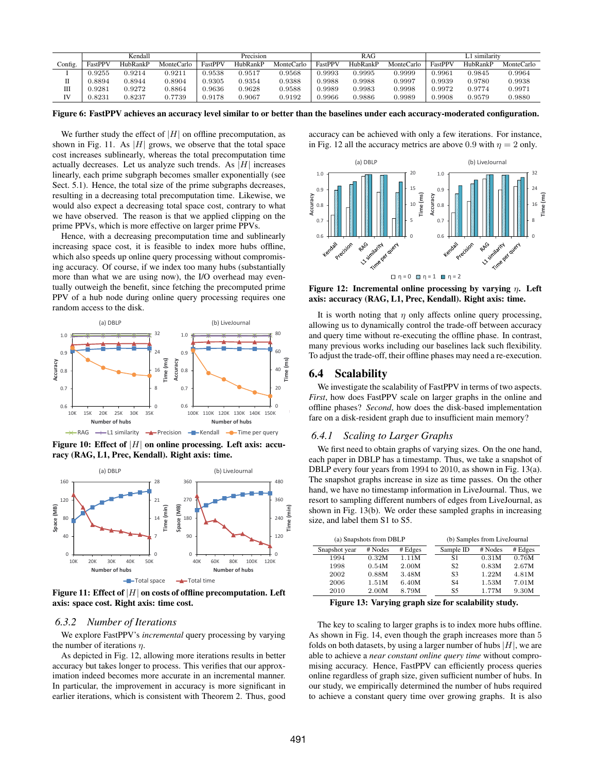|         | Kendall    |          |            | Precision   |             | RAG         |         |          | l similarity |         |          |            |
|---------|------------|----------|------------|-------------|-------------|-------------|---------|----------|--------------|---------|----------|------------|
| Config. | FastPPV    | HubRankP | MonteCarlo | FastPPV     | HubRankP    | MonteCarlo  | FastPPV | HubRankP | MonteCarlo   | FastPPV | HubRankP | MonteCarlo |
|         | ${0.9255}$ | 0.9214   | 0.9211     | $_{0.9538}$ | 0.9517      | $_{0.9568}$ | 0.9993  | 0.9995   | 0.9999       | ).9961  | 0.9845   | 0.9964     |
| п       | 0.8894     | 0.8944   | 9.8904     | $_{0.9305}$ | $_{0.9354}$ | 0.9388      | 0.9988  | 0.9988   | 0.9997       | ).9939  | 0.9780   | 0.9938     |
| Ш       | 0.9281     | 0.9272   | 9.8864     | 0.9636      | 0.9628      | 0.9588      | 0.9989  | 0.9983   | 0.9998       | 1.9972  | 0.9774   | 0.9971     |
| IV      | 0.8231     | 0.8237   | 0.7739     | 0.9178      | 0.9067      | 0.9192      | 0.9966  | 0.9886   | 0.9989       | 1.9908  | 0.9579   | 0.9880     |

Figure 6: FastPPV achieves an accuracy level similar to or better than the baselines under each accuracy-moderated configuration.

We further study the effect of  $|H|$  on offline precomputation, as shown in Fig. 11. As  $|H|$  grows, we observe that the total space cost increases sublinearly, whereas the total precomputation time actually decreases. Let us analyze such trends. As  $|H|$  increases linearly, each prime subgraph becomes smaller exponentially (see Sect. 5.1). Hence, the total size of the prime subgraphs decreases, resulting in a decreasing total precomputation time. Likewise, we would also expect a decreasing total space cost, contrary to what we have observed. The reason is that we applied clipping on the prime PPVs, which is more effective on larger prime PPVs.

Hence, with a decreasing precomputation time and sublinearly increasing space cost, it is feasible to index more hubs offline, which also speeds up online query processing without compromising accuracy. Of course, if we index too many hubs (substantially more than what we are using now), the I/O overhead may eventually outweigh the benefit, since fetching the precomputed prime PPV of a hub node during online query processing requires one random access to the disk.



Figure 10: Effect of  $|H|$  on online processing. Left axis: accuracy (RAG, L1, Prec, Kendall). Right axis: time.



Figure 11: Effect of  $|H|$  on costs of offline precomputation. Left axis: space cost. Right axis: time cost.

#### *6.3.2 Number of Iterations*

We explore FastPPV's *incremental* query processing by varying the number of iterations  $\eta$ .

As depicted in Fig. 12, allowing more iterations results in better accuracy but takes longer to process. This verifies that our approximation indeed becomes more accurate in an incremental manner. In particular, the improvement in accuracy is more significant in earlier iterations, which is consistent with Theorem 2. Thus, good accuracy can be achieved with only a few iterations. For instance, in Fig. 12 all the accuracy metrics are above 0.9 with  $\eta = 2$  only.



Figure 12: Incremental online processing by varying  $\eta$ . Left axis: accuracy (RAG, L1, Prec, Kendall). Right axis: time.

It is worth noting that  $\eta$  only affects online query processing, allowing us to dynamically control the trade-off between accuracy and query time without re-executing the offline phase. In contrast, many previous works including our baselines lack such flexibility. To adjust the trade-off, their offline phases may need a re-execution.

#### 6.4 Scalability

We investigate the scalability of FastPPV in terms of two aspects. *First*, how does FastPPV scale on larger graphs in the online and offline phases? *Second*, how does the disk-based implementation fare on a disk-resident graph due to insufficient main memory?

#### *6.4.1 Scaling to Larger Graphs*

We first need to obtain graphs of varying sizes. On the one hand, each paper in DBLP has a timestamp. Thus, we take a snapshot of DBLP every four years from 1994 to 2010, as shown in Fig. 13(a). The snapshot graphs increase in size as time passes. On the other hand, we have no timestamp information in LiveJournal. Thus, we resort to sampling different numbers of edges from LiveJournal, as shown in Fig. 13(b). We order these sampled graphs in increasing size, and label them S1 to S5.

|               | (a) Snapshots from DBLP |         | (b) Samples from LiveJournal |         |         |  |  |
|---------------|-------------------------|---------|------------------------------|---------|---------|--|--|
| Snapshot year | # Nodes                 | # Edges | Sample ID                    | # Nodes | # Edges |  |  |
| 1994          | 0.32M                   | 1.11M   | S1                           | 0.31M   | 0.76M   |  |  |
| 1998          | 0.54M                   | 2.00M   | S <sub>2</sub>               | 0.83M   | 2.67M   |  |  |
| 2002          | 0.88M                   | 3.48M   | S3                           | 1.22M   | 4.81M   |  |  |
| 2006          | 1.51M                   | 6.40M   | S <sub>4</sub>               | 1.53M   | 7.01M   |  |  |
| 2010          | 2.00M                   | 8.79M   | S5                           | 1.77M   | 9.30M   |  |  |

Figure 13: Varying graph size for scalability study.

The key to scaling to larger graphs is to index more hubs offline. As shown in Fig. 14, even though the graph increases more than 5 folds on both datasets, by using a larger number of hubs  $|H|$ , we are able to achieve a *near constant online query time* without compromising accuracy. Hence, FastPPV can efficiently process queries online regardless of graph size, given sufficient number of hubs. In our study, we empirically determined the number of hubs required to achieve a constant query time over growing graphs. It is also